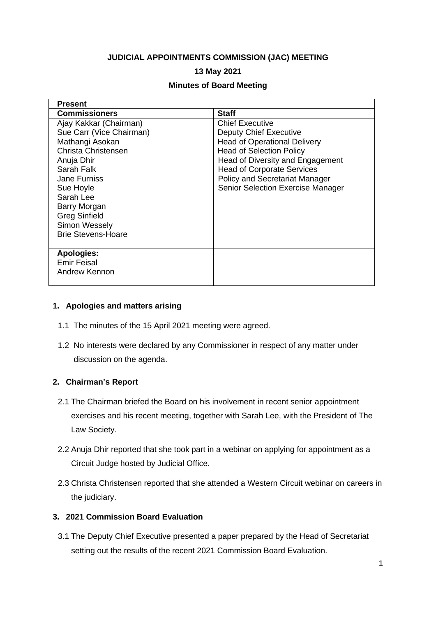## **JUDICIAL APPOINTMENTS COMMISSION (JAC) MEETING**

# **13 May 2021**

## **Minutes of Board Meeting**

| <b>Present</b>            |                                          |
|---------------------------|------------------------------------------|
| <b>Commissioners</b>      | <b>Staff</b>                             |
| Ajay Kakkar (Chairman)    | <b>Chief Executive</b>                   |
| Sue Carr (Vice Chairman)  | <b>Deputy Chief Executive</b>            |
| Mathangi Asokan           | <b>Head of Operational Delivery</b>      |
| Christa Christensen       | <b>Head of Selection Policy</b>          |
| Anuja Dhir                | Head of Diversity and Engagement         |
| Sarah Falk                | <b>Head of Corporate Services</b>        |
| <b>Jane Furniss</b>       | <b>Policy and Secretariat Manager</b>    |
| Sue Hoyle                 | <b>Senior Selection Exercise Manager</b> |
| Sarah Lee                 |                                          |
| Barry Morgan              |                                          |
| <b>Greg Sinfield</b>      |                                          |
| Simon Wessely             |                                          |
| <b>Brie Stevens-Hoare</b> |                                          |
|                           |                                          |
| <b>Apologies:</b>         |                                          |
| <b>Emir Feisal</b>        |                                          |
| Andrew Kennon             |                                          |
|                           |                                          |

## **1. Apologies and matters arising**

- 1.1 The minutes of the 15 April 2021 meeting were agreed.
- 1.2 No interests were declared by any Commissioner in respect of any matter under discussion on the agenda.

## **2. Chairman's Report**

- 2.1 The Chairman briefed the Board on his involvement in recent senior appointment exercises and his recent meeting, together with Sarah Lee, with the President of The Law Society.
- 2.2 Anuja Dhir reported that she took part in a webinar on applying for appointment as a Circuit Judge hosted by Judicial Office.
- 2.3 Christa Christensen reported that she attended a Western Circuit webinar on careers in the judiciary.

## **3. 2021 Commission Board Evaluation**

3.1 The Deputy Chief Executive presented a paper prepared by the Head of Secretariat setting out the results of the recent 2021 Commission Board Evaluation.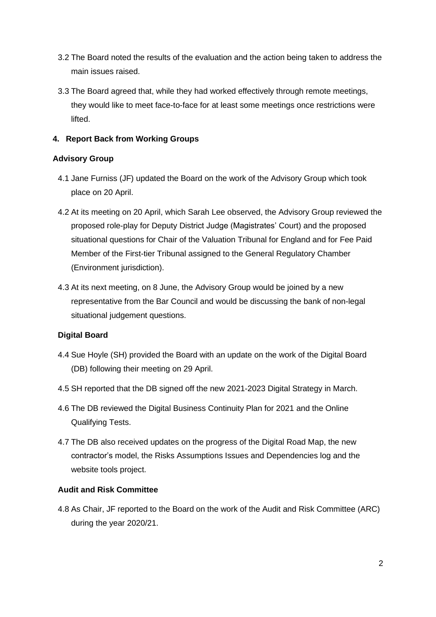- 3.2 The Board noted the results of the evaluation and the action being taken to address the main issues raised.
- 3.3 The Board agreed that, while they had worked effectively through remote meetings, they would like to meet face-to-face for at least some meetings once restrictions were lifted.

# **4. Report Back from Working Groups**

# **Advisory Group**

- 4.1 Jane Furniss (JF) updated the Board on the work of the Advisory Group which took place on 20 April.
- 4.2 At its meeting on 20 April, which Sarah Lee observed, the Advisory Group reviewed the proposed role-play for Deputy District Judge (Magistrates' Court) and the proposed situational questions for Chair of the Valuation Tribunal for England and for Fee Paid Member of the First-tier Tribunal assigned to the General Regulatory Chamber (Environment jurisdiction).
- 4.3 At its next meeting, on 8 June, the Advisory Group would be joined by a new representative from the Bar Council and would be discussing the bank of non-legal situational judgement questions.

# **Digital Board**

- 4.4 Sue Hoyle (SH) provided the Board with an update on the work of the Digital Board (DB) following their meeting on 29 April.
- 4.5 SH reported that the DB signed off the new 2021-2023 Digital Strategy in March.
- 4.6 The DB reviewed the Digital Business Continuity Plan for 2021 and the Online Qualifying Tests.
- 4.7 The DB also received updates on the progress of the Digital Road Map, the new contractor's model, the Risks Assumptions Issues and Dependencies log and the website tools project.

## **Audit and Risk Committee**

4.8 As Chair, JF reported to the Board on the work of the Audit and Risk Committee (ARC) during the year 2020/21.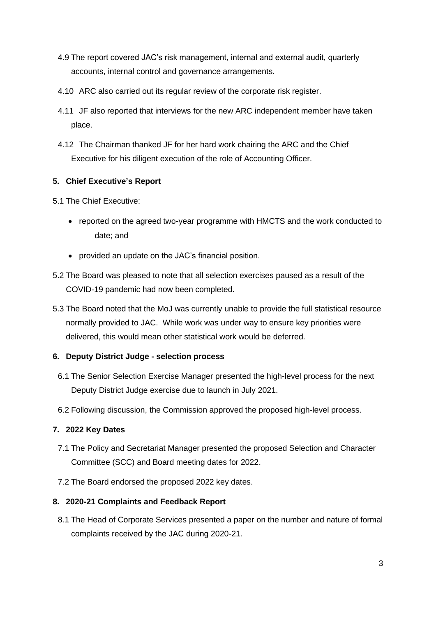- 4.9 The report covered JAC's risk management, internal and external audit, quarterly accounts, internal control and governance arrangements.
- 4.10 ARC also carried out its regular review of the corporate risk register.
- 4.11 JF also reported that interviews for the new ARC independent member have taken place.
- 4.12 The Chairman thanked JF for her hard work chairing the ARC and the Chief Executive for his diligent execution of the role of Accounting Officer.

# **5. Chief Executive's Report**

- 5.1 The Chief Executive:
	- reported on the agreed two-year programme with HMCTS and the work conducted to date; and
	- provided an update on the JAC's financial position.
- 5.2 The Board was pleased to note that all selection exercises paused as a result of the COVID-19 pandemic had now been completed.
- 5.3 The Board noted that the MoJ was currently unable to provide the full statistical resource normally provided to JAC. While work was under way to ensure key priorities were delivered, this would mean other statistical work would be deferred.

## **6. Deputy District Judge - selection process**

- 6.1 The Senior Selection Exercise Manager presented the high-level process for the next Deputy District Judge exercise due to launch in July 2021.
- 6.2 Following discussion, the Commission approved the proposed high-level process.

# **7. 2022 Key Dates**

- 7.1 The Policy and Secretariat Manager presented the proposed Selection and Character Committee (SCC) and Board meeting dates for 2022.
- 7.2 The Board endorsed the proposed 2022 key dates.

## **8. 2020-21 Complaints and Feedback Report**

8.1 The Head of Corporate Services presented a paper on the number and nature of formal complaints received by the JAC during 2020-21.